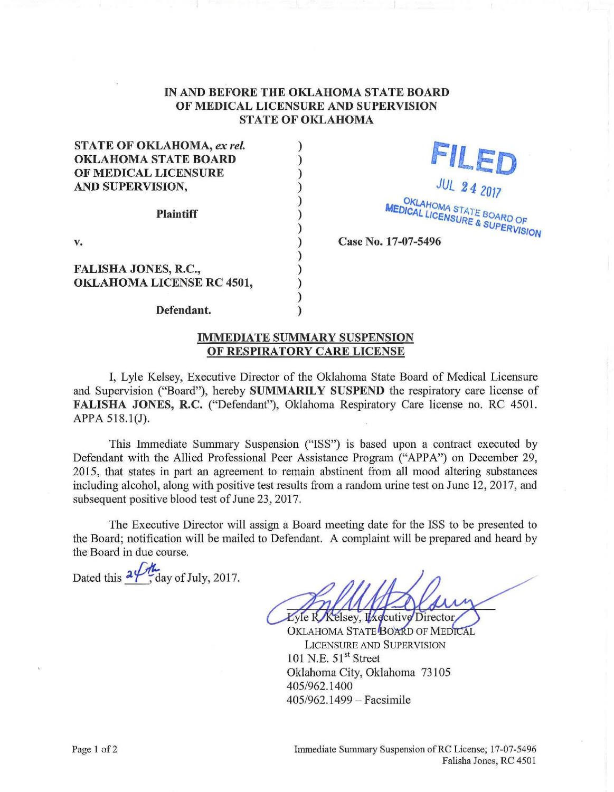## IN AND BEFORE THE OKLAHOMA STATE BOARD OF MEDICAL LICENSURE AND SUPERVISION STATE OF OKLAHOMA

) ) ) ) ) ) ) ) ) ) ) ) )

STATE OF OKLAHOMA, *ex rei.*  OKLAHOMA STATE BOARD OF MEDICAL LICENSURE AND SUPERVISION, Plaintiff

v.

FALISHA JONES, R.C., OKLAHOMA LICENSE RC 4501,

Defendant.

FILED JUL 2 4 2017 **OKLAHOMA MELICENSURE BOARD OF SUPERVISION** 

Case No. 17-07-5496

IMMEDIATE SUMMARY SUSPENSION OF RESPIRATORY CARE LICENSE

I, Lyle Kelsey, Executive Director of the Oklahoma State Board of Medical Licensure and Supervision ("Board"), hereby SUMMARILY SUSPEND the respiratory care license of FALISHA JONES, R.C. ("Defendant"), Oklahoma Respiratory Care license no. RC 4501. APPA 518.1(J).

This Immediate Summary Suspension ("ISS") is based upon a contract executed by Defendant with the Allied Professional Peer Assistance Program ("APPA") on December 29, 2015, that states in part an agreement to remain abstinent from all mood altering substances including alcohol, along with positive test results from a random urine test on June 12, 2017, and subsequent positive blood test of June 23, 2017.

The Executive Director will assign a Board meeting date for the ISS to be presented to the Board; notification will be mailed to Defendant. A complaint will be prepared and heard by the Board in due course.

Dated this  $2\frac{1}{2}$ , day of July, 2017.

Lyle R Kelsey, Executive Director

OKLAHOMA STATE BOARD OF MEDICAL LICENSURE AND SUPERVISION 101 N.E.  $51<sup>st</sup>$  Street Oklahoma City, Oklahoma 73105 405/962.1400 405/962.1499 - Facsimile